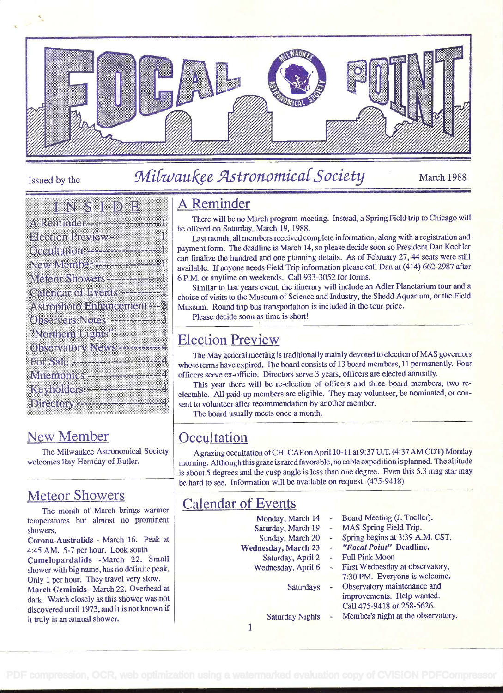

# Issued by the Milwaukee Astronomical Society March 1988

#### <u>inns i del</u>

| A Reminder - - - - - - - - - - - - - 1     |
|--------------------------------------------|
| <b>Election Preview -------------1</b>     |
| Occultation ---------------------1         |
| New Member ---------------1                |
| Meteor Showers - - - - - - - - - - 1       |
| Calendar of Events ---------- I            |
| Astrophoto Enhancement --- 2               |
| Observers Notes ------------3              |
|                                            |
| "Northern Lights"-----------4              |
| Observatory News -----------4              |
| For Sale -----------------------4          |
| Mnemonics $\cdots$ , $\cdots$ and $\cdots$ |
| Keyholders -------------------4            |

### New Member

The Milwaukee Astronomical Society welcomes Ray Hemday of Butler.

### Meteor Showers

The month of March brings warmer temperatures but almost no prominent showers.

Corona-Australids - March 16. Peak at 4:45 AM. 5-7 per hour. Look south Camelopardalids -March 22. Small shower with big name, has no definite peak. Only i per hour. They travel very slow. March Geminids - March 22. Overhead at dark. Watch closely as this shower vas not discovered until 1973, and it is not known if it truly is an annual shower.

# A Reminder

There will be no March program-meeting. Instead, a Spring Field trip to Chicago will be offered on Saturday, March 19, 1988.

Last month, all members received complete information, along with a registration and payment form. The deadline is March 14, so please decide soon so President Dan Koehier can finalize the hundred and one planning details. As of February 27, 44 seats were still available. If anyone needs Field Trip information please call Dan at (4 14) 662-2987 after 6 P.M. or anytime on weekends. Call 933-3052 for forms.

Similar to last years event, the itinerary will include an Adler Planetarium tour and a choice of visits to the Museum of Science and Industry, the Shedd Aquarium, or the Field Museum. Round trip bus transportation is included in the tour price.

Please decide soon as time is short!

### Election Preview

The May general meeting is traditionally mainly devoted to election of MAS governors who.e terms have expired. The board consists of 13 board members, 11 permanently. Four officers serve ex-officio. Directors serve 3 years, officers are elected annually.

This year there will be re-election of officers and three board members, two re electable. All paid-up members are eligible. They may volunteer, be nominated, or con sent to volunteer after recommendation by another member.

The board usually meets once a month.

### **Occultation**

A grazing occultation of CHI CAP on April 10-11 at 9:37 U.T. (4:37 AM CDT) Monday morning. Although this graze israted favorable, no cable expedition isplanned. The altitude is about 5 degrees and the cusp angle is less than one degree. Even this 5.3 mag star may be hard to see. Information will be available on request. (475-9418)

Monday, March 14

Sunday, March 20

Saturdays

Saturday Nights

## Calendar of Events

- Board Meeting (J. Toeller).
- Saturday, March 19 MAS Spring Field Trip.
	- Spring begins at 3:39 A.M. CST.
- Wednesday, March 23 "Focal Point" Deadline.
	- First Wednesday at observatory, 7:30 PM. Everyone is welcome. Observatory maintenance and
		- improvements. Help wanted. Call 475-9418 or 258-5626.
		- Member's night at the observatory.

 $\mathbf{1}$ 

Saturday, April 2 Wednesday, April 6 - Full Pink Moon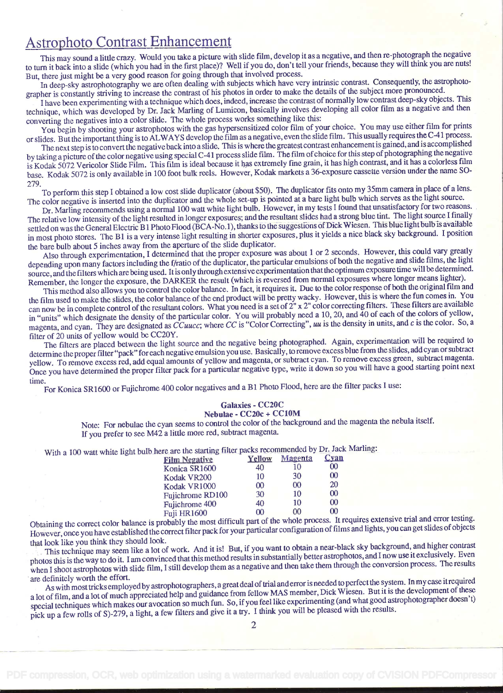#### Astrophoto Contrast Enhancement

This may sound a little crazy. Would you take a picture with slide film, develop it as a negative, and then re-photograph the negative to turn it back into a slide (which you had in the first place)? Well if you do, don't tell your friends, because they will think you are nuts! But, there just might be a very good reason for going through that involved process.

In deep-sky astrophotography we are often dealing with subjects which have very intrinsic contrast. Consequently, the astrophotographer is constantly striving to increase the contrast of his photos in order to make the details of the subject more pronounced.

<sup>I</sup>have been experimenting with a technique which does, indeed, increase the contrast of normally low contrast deep-sky objects. This technique, which was developed by Dr. Jack Marling of Lumicon, basically involves developing all color film as a negative and then converting the negatives into a color slide. The whole process works something like this:

You begin by shooting your astrophotos with the gas hypersensitized color film of your choice. You may use either film for prints or slides. But the important thing is to ALWAYS develop the film as a negative, even the slide film. This usually requires the C-4 i process.

The next step is to convert the negativeback into a slide. This is where the greatest contrast enhancement is gained, and is accomplished by taking a picture of the color negative using special C-41 process slide film. The film of choice for this step of photographing the negative is Kodak 5072 Vericolor Slide Film. This film is ideal because it bas extremely fine grain, it has high contrast, and it has a colorless film base. Kodak 5072 is only available in 100 foot bulk reels. However, Kodak markets a 36-exposure cassette version under the name SO-<br>279.

279. To perform this step I obtained a low cost slide duplicator (about \$50). The duplicator fits onto my 35mm camera in place of a lens. The color negative is inserted into the duplicator and the whole set-up is pointed at a bare light bulb which serves as the light source.

Dr. Marling recommends using a normal 100 watt white light bulb. However, in my tests I found that unsatisfactory for two reasons. The relative low intensity of the light resulted in longer exposures; and the resultant slides had a strong blue tint. The light source I finally settled on was the General Electric B1 Photo Flood (BCA-No.1), thanks to the suggestions of Dick Wiesen. This blue light bulb is available in most photo stores. The Bi is a very intense light resulting in shorter exposures, plus it yields a nice black sky background. I position the bare bulb about 5 inches away from the aperture of the slide duplicator.

Also through experimentation, I determined that the proper exposure was about 1 or 2 seconds. However, this could vary greatly depending upon many factors including the f/ratio of the duplicator, the particular emulsions of both the negative and slide films, the light source, and the filters which are being used. It is only through extensive experimentation thatthe optimum exposure time will be determined. Remember, the longer the exposure, the DARKER the result (which is reversed from normal exposures where longer means lighter).

This method also allows you to control the color balance. In fact, it requires it. Due to the color response of both the original film and the film used to make the slides, the color balance of the end product will be pret can now be in complete control of the resultant colors. What you need is a set of 2" x 2" color correcting filters. These filters are available in "units" which designate the density of the particular color. You will probably need a 10, 20, and 40 of each of the colors of yellow, magenta, and cyan. They are designated as CCuucc; where CC is "Color Correcting", uu is the density in units, and c is the color. So, a filter of 20 units of yellow would be CC2OY.

The filters are placed between the light source and the negative being photographed. Again, experimentation will be required to determine the proper filter "pack" for each negative emulsion you use. Basically, to remove excess blue from the slides, add cyan or subtract yellow. To remove excess red, add equal amounts of yellow and magenta, or subtract cyan. To remove excess green, subtract magenta. Once you have determined the proper filter pack for a particular negative type, write it down so you will have a good starting point next

time. For Konica SR1600 or Fujichrome 400 color negatives and a Bi Photo Flood, here are the filter packs I use:

#### Galaxies - CC2OC Nebulae - CC2Oc + CC1OM

Note: For nebulae the cyan seems to control the color of the background and the magenta the nebula itself.

If you prefer to see M42 a little more red, subtract magenta.

With a 100 watt white light bulb here are the starting filter packs recommended by Dr. Jack Marling:

| <b>Film Negative</b>  | Yellow   | Magenta | Cyan     |  |
|-----------------------|----------|---------|----------|--|
| Konica SR1600         | 40       | 10      | $\infty$ |  |
| Kodak VR200           | 10       | 30      | 00       |  |
| Kodak VR1000          | $\infty$ | 00      | 20       |  |
| Fujichrome RD100      | 30       | 10      | $\infty$ |  |
| <b>Fujichrome 400</b> | 40       | 10      | $\infty$ |  |
| <b>Fuji HR1600</b>    | $\Omega$ | 00      | 00       |  |
|                       |          |         |          |  |

Obtaining the correct color balance is probably the most difficult part of the whole process. It requires extensive trial and error testing. However, once you have established the correct filter pack for your particular configuration of films and lights, you can get slides of objects that look like you think they should look.

This technique may seem like a lot of work. And it is! But, if you want to obtain a near-black sky background, and higher contrast photos this is the way to do it. I am convinced that this method results in substantially better astrophotos, and I now use it exclusively. Even when I shoot astrophotos with slide film, I still develop them as a negative and then take them through the conversion process. The results are definitely worth the effort.

are definitely worth the effort.<br>As with most tricks employed by astrophotographers, a great deal of trial and error is needed to perfect the system. In my case it required<br>As with most tricks employed by astrophotographer a lot of film, and a lot of much appreciated help and guidance from fellow MAS member, Dick Wiesen. But it is the development of these special techniques which makes our avocation so much fun. So, if you feel like experimenting (and what good astrophotographer doesn't) pick up a few rolls of S)-279, a light, a few filters and give it a try. I think you will be pleased with the results.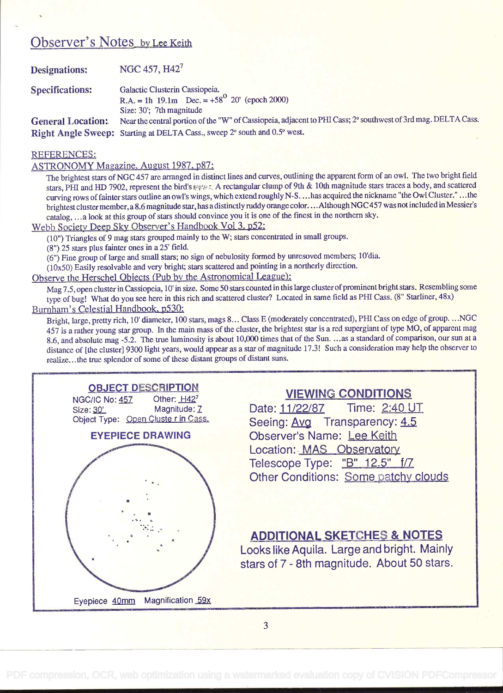### Observer's Notes by Lee Keith

| <b>Designations:</b>     | NGC 457, H42 <sup>7</sup>                                                                                     |
|--------------------------|---------------------------------------------------------------------------------------------------------------|
| <b>Specifications:</b>   | Galactic Clusterin Cassiopeia.                                                                                |
|                          | R.A. = 1h 19.1m Dec. = $+58^{\circ}$ 20' (epoch 2000)                                                         |
|                          | Size: 30': 7th magnitude                                                                                      |
| <b>General Location:</b> | Near the central portion of the "W" of Cassiopeia, adjacent to PHI Cass; 2° southwest of 3rd mag. DELTA Cass. |
|                          | Right Angle Sweep: Starting at DELTA Cass., sweep 2° south and 0.5° west.                                     |

#### REFERENCES:

ASTRONOMY Magazine. August 1987. p87:

The brightest stars of NGC 457 are arranged in distinct lines and curves, outlining the apparent form of an owl. The two bright field stars, PHI and HD 7902, represent the bird's  $\epsilon \ll \epsilon$ , A rectangular clump of 9th & 10th magnitude stars traces a body, and scattered curving rows of fainter stars outline an owl's wings, which extend roughly N-S... has acquired the nickname "the Owl Cluster." ... the brightest cluster member, a 8.6 magnitude star, has a distinctly ruddy orange color....Although NGC 457 was not included in Messier's catalog, . . . a look at this group of stars should convince you it is one of the finest in the northern sky.

Webb Society Deep Sky Observer's Handbook Vol 3. p52:

(10") Triangles of 9 mag stars grouped mainly to the W; stars concentrated in small groups.

(8") 25 stars plus fainter ones in a 25' field.

(6") Fine group of large and small stars; no sign of nebulosity formed by unresoved members; 10'dia.

 $(10x50)$  Easily resolvable and very bright; stars scattered and pointing in a northerly direction.

Observe the Herschel Obiects (Pub by the Astronomical League):

Mag 7.5, open cluster in Cassiopeia, 10' in size. Some 50 stars counted in this large cluster of prominent bright stars. Resembling some type of bug! What do you see here in this rich and scattered cluster? Located in same field as PHI Cass. (8" Starliner, 48x)

#### Burnham's Celestial Handbook, p530:

Bright, large, pretty rich, 10' diameter, 100 stars, mags 8... Class E (moderately concentrated), PHI Cass on edge of group....NGC 457 is a rather young star group. In the main mass of the cluster, the brightest star is a red supergiant of type MO, of apparent mag 8.6, and absolute mag -5.2. The true luminosity is about 10,000 times that of the Sun. . . .as a standard of comparison, our sun at <sup>a</sup>distance of [the cluster] 9300 light years, would appear as a star of magnitude 17.3! Such a consideration may help the observer to realize.., the true splendor of some of these distant groups of distant suns.



#### VIEWING CONDITIONS

Date:11/22/87 Time: 2:40 UT Seeing: Avg Transparency: 4.5 Observer's Name: Lee Keith Location: MAS Observatory Telescope Type: "B" 12.5" f/7 Other Conditions: Some patchy clouds

#### ADDITIONAL SKETCHES & NOTES

Looks like Aquila. Large and bright. Mainly stars of 7 - 8th magnitude. About 50 stars.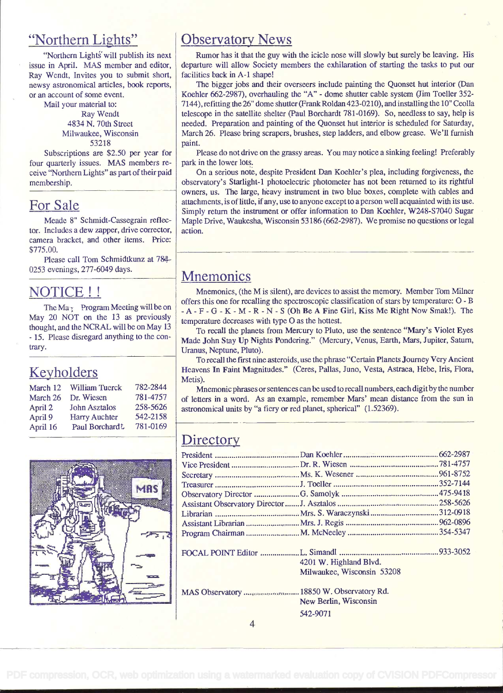#### "Northern Lights"

"Northern Lights' will publish its next issue in April. MAS member and editor, Ray Wendt, Invites you to submit short, newsy astronomical articles, book reports, or an account of some event.

Mail your material to: Ray Wendt 4834 N. 70th Sireet Milwaukee, Wisconsin 53218

Subscriptions are \$2.50 per year for four quarterly issues. MAS members re ceive "Northern Lights" as part of their paid membership.

#### For Sale

Meade 8" Schmidt-Cassegrain reflector. Includes a dew zapper, drive corrector, camera bracket, and other items. Price: \$775.00.

Please call Tom Schmidtkunz at 784 0253 evenings, 277-6049 days.

#### NOTICE!!

The Ma<sub>r</sub> Program Meeting will be on May 20 NOT on the 13 as previously thought, and the NCRAL will be on May 13 - 15. Please disregard anything to the con- trary.

### Keyholders

| March 12 | <b>William Tuerck</b> | 782-2844 |           |
|----------|-----------------------|----------|-----------|
| March 26 | Dr. Wiesen            | 781-4757 | $\alpha$  |
| April 2  | <b>John Asztalos</b>  | 258-5626 | <b>as</b> |
| April 9  | <b>Harry Auchter</b>  | 542-2158 |           |
| April 16 | Paul Borchardt        | 781-0169 |           |



### **Observatory News**

Rumor has it that the guy with the icicle nose will slowly but surely be leaving. His departure will allow Society members the exhilaration of starting the tasks to put our facilities back in A-1 shape!

The bigger jobs and their overseers include painting the Quonset hut interior (Dan Koehler 662-2987), overhauling the "A" - dome shutter cable system (Jim Toeller 352- 7144), refitting the 26" dome shutter (Frank Roldan 423-0210), and installing the 10" Ceolla telescope in the satellite shelter (Paul Borchardt 781-0169). So, needless to say, help is needed, Preparation and painting of the Quonset hut interior is scheduled for Saturday, March 26. Please bring scrapers, brushes, step ladders, and elbow grease. We'll furnish paint.

Please do not drive on the grassy areas. You may notice a sinking feeling! Preferably park in the lower lots.

On a serious note, despite President Dan Koehler's plea, including forgiveness, the observatory's Starlight-i photoelectric photometer has not been returned to its rightful owners, us. The large, heavy instrument in two blue boxes, complete with cables and attachments, is of little, if any, use to anyone except to a person well acquainted with its use. Simply return the instrument or offer information to Dan Koehier, W248-57040 Sugar Maple Drive, Waukesha, Wisconsin 53 186 (662-2987). We promise no questions or legal action.

#### **Mnemonics**

Mnemonics, (the M is silent), are devices to assist the memory. Member Tom Milner offers this one for recalling the spectroscopie classification of stars by temperature: O - B  $-A-F-G-K-M-R-N-S$  (Oh Be A Fine Girl, Kiss Me Right Now Smak!). The temperature decreases with type O as the hottest.

To recall the planets from Mercury to Pluto, use the sentence "Mary's Violet Eyes Made John Stay Up Nights Pondering." (Mercury, Venus, Earth, Mars, Jupiter, Saturn, Uranus, Neptune, Pluto).

To recall the first nine asteroids, use the phrase "Certain Planets Journey Very Ancient Heavens In Faint Magnitudes." (Ceres, Pallas, Juno, Vesta, Astraea, Hebe, Iris, Flora, Metis).

Mnemonic phrases or sentences can be used to recall numbers, each digit by the number of letters in a word. As an example, remember Mars' mean distance from the sun in astronomical units by "a fiery or red planet, spherical" (1.52369).

### **Directory**

|                                           | 4201 W. Highland Blvd.     |  |
|-------------------------------------------|----------------------------|--|
|                                           | Milwaukee, Wisconsin 53208 |  |
| MAS Observatory  18850 W. Observatory Rd. |                            |  |
|                                           | New Berlin, Wisconsin      |  |
|                                           | 542-9071                   |  |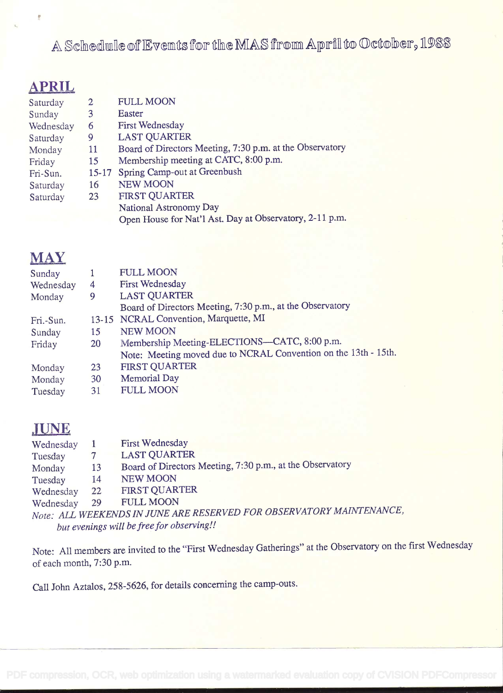A Schedule of Events for the MAS from April to October, 1988

# APRIL

0

| 2       | <b>FULL MOON</b>                                         |
|---------|----------------------------------------------------------|
| 3       | Easter                                                   |
| 6       | <b>First Wednesday</b>                                   |
| 9       | <b>LAST QUARTER</b>                                      |
| 11      | Board of Directors Meeting, 7:30 p.m. at the Observatory |
| 15      | Membership meeting at CATC, 8:00 p.m.                    |
| $15-17$ | Spring Camp-out at Greenbush                             |
| 16      | <b>NEW MOON</b>                                          |
| 23      | <b>FIRST QUARTER</b>                                     |
|         | National Astronomy Day                                   |
|         | Open House for Nat'l Ast. Day at Observatory, 2-11 p.m.  |
|         |                                                          |

## MAY

| Sunday    |           | <b>FULL MOON</b>                                                |
|-----------|-----------|-----------------------------------------------------------------|
| Wednesday | 4         | <b>First Wednesday</b>                                          |
| Monday    | 9         | <b>LAST QUARTER</b>                                             |
|           |           | Board of Directors Meeting, 7:30 p.m., at the Observatory       |
| Fri.-Sun. |           | 13-15 NCRAL Convention, Marquette, MI                           |
| Sunday    | 15        | <b>NEW MOON</b>                                                 |
| Friday    | <b>20</b> | Membership Meeting-ELECTIONS-CATC, 8:00 p.m.                    |
|           |           | Note: Meeting moved due to NCRAL Convention on the 13th - 15th. |
| Monday    | 23        | <b>FIRST QUARTER</b>                                            |
| Monday    | 30        | <b>Memorial Day</b>                                             |
| Tuesday   | 31        | <b>FULL MOON</b>                                                |

## **JUNE**

| Wednesday |    | <b>First Wednesday</b>                                               |
|-----------|----|----------------------------------------------------------------------|
| Tuesday   |    | <b>LAST QUARTER</b>                                                  |
| Monday    | 13 | Board of Directors Meeting, 7:30 p.m., at the Observatory            |
| Tuesday   | 14 | <b>NEW MOON</b>                                                      |
| Wednesday | 22 | <b>FIRST QUARTER</b>                                                 |
| Wednesday | 29 | <b>FULL MOON</b>                                                     |
|           |    | Note: ALL WEEKENDS IN JUNE ARE RESERVED FOR OBSERVATORY MAINTENANCE, |
|           |    | but evenings will be free for observing!!                            |
|           |    |                                                                      |

Note: All members are invited to the "First Wednesday Gatherings" at the Observatory on the first Wednesday of each month, 7:30 p.m.

Call John Aztalos, 258-5626, for details concerning the camp-outs.